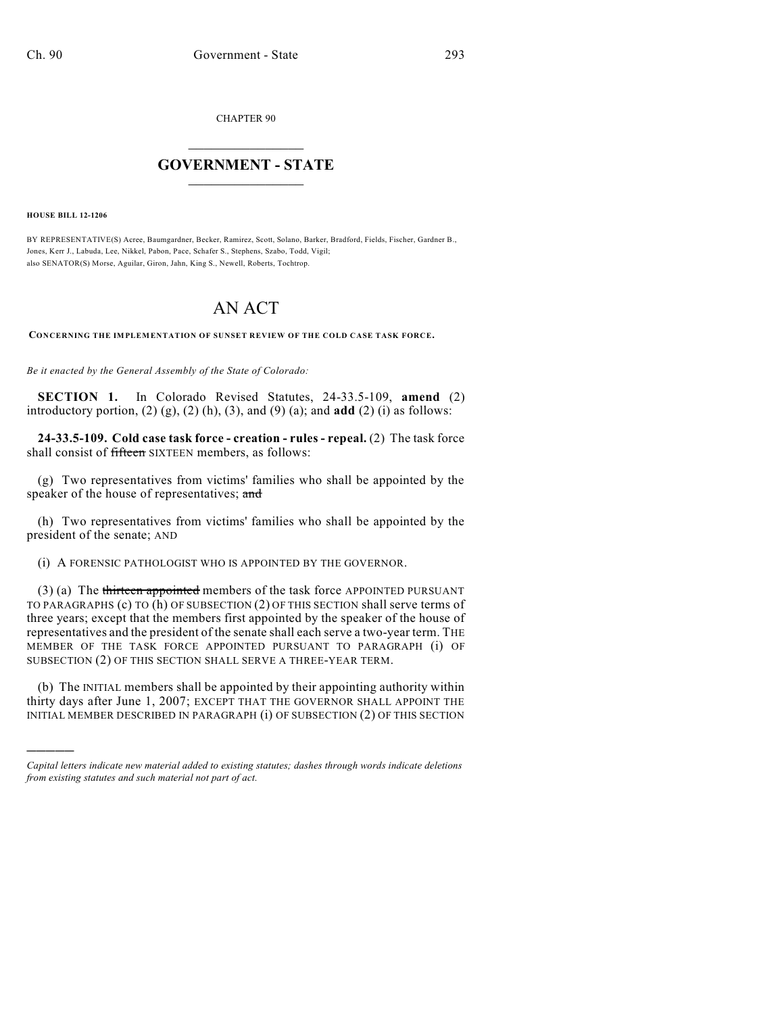CHAPTER 90

## $\mathcal{L}_\text{max}$  . The set of the set of the set of the set of the set of the set of the set of the set of the set of the set of the set of the set of the set of the set of the set of the set of the set of the set of the set **GOVERNMENT - STATE**  $\_$   $\_$

**HOUSE BILL 12-1206**

)))))

BY REPRESENTATIVE(S) Acree, Baumgardner, Becker, Ramirez, Scott, Solano, Barker, Bradford, Fields, Fischer, Gardner B., Jones, Kerr J., Labuda, Lee, Nikkel, Pabon, Pace, Schafer S., Stephens, Szabo, Todd, Vigil; also SENATOR(S) Morse, Aguilar, Giron, Jahn, King S., Newell, Roberts, Tochtrop.

## AN ACT

**CONCERNING THE IMPLEMENTATION OF SUNSET REVIEW OF THE COLD CASE TASK FORCE.**

*Be it enacted by the General Assembly of the State of Colorado:*

**SECTION 1.** In Colorado Revised Statutes, 24-33.5-109, **amend** (2) introductory portion,  $(2)$   $(g)$ ,  $(2)$   $(h)$ ,  $(3)$ , and  $(9)$   $(a)$ ; and **add**  $(2)$   $(i)$  as follows:

**24-33.5-109. Cold case task force - creation - rules - repeal.** (2) The task force shall consist of fifteen SIXTEEN members, as follows:

(g) Two representatives from victims' families who shall be appointed by the speaker of the house of representatives; and

(h) Two representatives from victims' families who shall be appointed by the president of the senate; AND

(i) A FORENSIC PATHOLOGIST WHO IS APPOINTED BY THE GOVERNOR.

(3) (a) The thirteen appointed members of the task force APPOINTED PURSUANT TO PARAGRAPHS (c) TO (h) OF SUBSECTION (2) OF THIS SECTION shall serve terms of three years; except that the members first appointed by the speaker of the house of representatives and the president of the senate shall each serve a two-year term. THE MEMBER OF THE TASK FORCE APPOINTED PURSUANT TO PARAGRAPH (i) OF SUBSECTION (2) OF THIS SECTION SHALL SERVE A THREE-YEAR TERM.

(b) The INITIAL members shall be appointed by their appointing authority within thirty days after June 1, 2007; EXCEPT THAT THE GOVERNOR SHALL APPOINT THE INITIAL MEMBER DESCRIBED IN PARAGRAPH (i) OF SUBSECTION (2) OF THIS SECTION

*Capital letters indicate new material added to existing statutes; dashes through words indicate deletions from existing statutes and such material not part of act.*